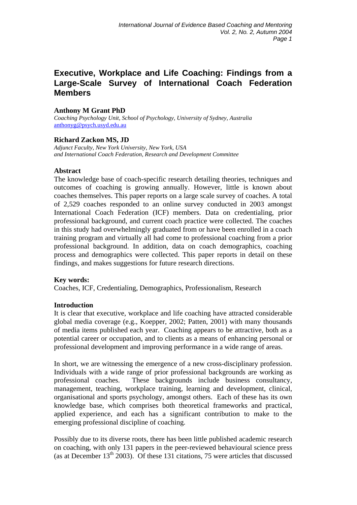# **Executive, Workplace and Life Coaching: Findings from a Large-Scale Survey of International Coach Federation Members**

### **Anthony M Grant PhD**

*Coaching Psychology Unit, School of Psychology, University of Sydney, Australia* [anthonyg@psych.usyd.edu.au](mailto:anthonyg@psych.usyd.edu.au) 

### **Richard Zackon MS, JD**

*Adjunct Faculty, New York University, New York, USA and International Coach Federation, Research and Development Committee*

#### **Abstract**

The knowledge base of coach-specific research detailing theories, techniques and outcomes of coaching is growing annually. However, little is known about coaches themselves. This paper reports on a large scale survey of coaches. A total of 2,529 coaches responded to an online survey conducted in 2003 amongst International Coach Federation (ICF) members. Data on credentialing, prior professional background, and current coach practice were collected. The coaches in this study had overwhelmingly graduated from or have been enrolled in a coach training program and virtually all had come to professional coaching from a prior professional background. In addition, data on coach demographics, coaching process and demographics were collected. This paper reports in detail on these findings, and makes suggestions for future research directions.

### **Key words:**

Coaches, ICF, Credentialing, Demographics, Professionalism, Research

### **Introduction**

It is clear that executive, workplace and life coaching have attracted considerable global media coverage (e.g., Koepper, 2002; Patten, 2001) with many thousands of media items published each year. Coaching appears to be attractive, both as a potential career or occupation, and to clients as a means of enhancing personal or professional development and improving performance in a wide range of areas.

In short, we are witnessing the emergence of a new cross-disciplinary profession. Individuals with a wide range of prior professional backgrounds are working as professional coaches. These backgrounds include business consultancy, management, teaching, workplace training, learning and development, clinical, organisational and sports psychology, amongst others. Each of these has its own knowledge base, which comprises both theoretical frameworks and practical, applied experience, and each has a significant contribution to make to the emerging professional discipline of coaching.

Possibly due to its diverse roots, there has been little published academic research on coaching, with only 131 papers in the peer-reviewed behavioural science press (as at December  $13<sup>th</sup> 2003$ ). Of these 131 citations, 75 were articles that discussed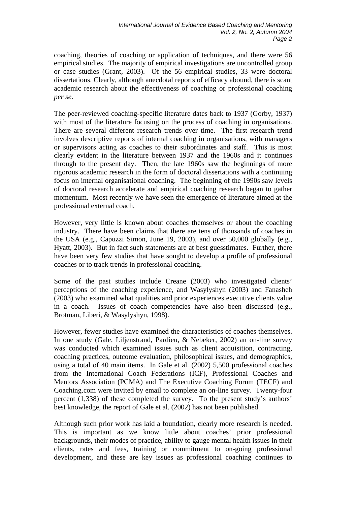coaching, theories of coaching or application of techniques, and there were 56 empirical studies. The majority of empirical investigations are uncontrolled group or case studies (Grant, 2003). Of the 56 empirical studies, 33 were doctoral dissertations. Clearly, although anecdotal reports of efficacy abound, there is scant academic research about the effectiveness of coaching or professional coaching *per se*.

The peer-reviewed coaching-specific literature dates back to 1937 (Gorby, 1937) with most of the literature focusing on the process of coaching in organisations. There are several different research trends over time. The first research trend involves descriptive reports of internal coaching in organisations, with managers or supervisors acting as coaches to their subordinates and staff. This is most clearly evident in the literature between 1937 and the 1960s and it continues through to the present day. Then, the late 1960s saw the beginnings of more rigorous academic research in the form of doctoral dissertations with a continuing focus on internal organisational coaching. The beginning of the 1990s saw levels of doctoral research accelerate and empirical coaching research began to gather momentum. Most recently we have seen the emergence of literature aimed at the professional external coach.

However, very little is known about coaches themselves or about the coaching industry. There have been claims that there are tens of thousands of coaches in the USA (e.g., Capuzzi Simon, June 19, 2003), and over 50,000 globally (e.g., Hyatt, 2003). But in fact such statements are at best guesstimates. Further, there have been very few studies that have sought to develop a profile of professional coaches or to track trends in professional coaching.

Some of the past studies include Creane (2003) who investigated clients' perceptions of the coaching experience, and Wasylyshyn (2003) and Fanasheh (2003) who examined what qualities and prior experiences executive clients value in a coach. Issues of coach competencies have also been discussed (e.g., Brotman, Liberi, & Wasylyshyn, 1998).

However, fewer studies have examined the characteristics of coaches themselves. In one study (Gale, Liljenstrand, Pardieu, & Nebeker, 2002) an on-line survey was conducted which examined issues such as client acquisition, contracting, coaching practices, outcome evaluation, philosophical issues, and demographics, using a total of 40 main items. In Gale et al. (2002) 5,500 professional coaches from the International Coach Federations (ICF), Professional Coaches and Mentors Association (PCMA) and The Executive Coaching Forum (TECF) and Coaching.com were invited by email to complete an on-line survey. Twenty-four percent (1,338) of these completed the survey. To the present study's authors' best knowledge, the report of Gale et al. (2002) has not been published.

Although such prior work has laid a foundation, clearly more research is needed. This is important as we know little about coaches' prior professional backgrounds, their modes of practice, ability to gauge mental health issues in their clients, rates and fees, training or commitment to on-going professional development, and these are key issues as professional coaching continues to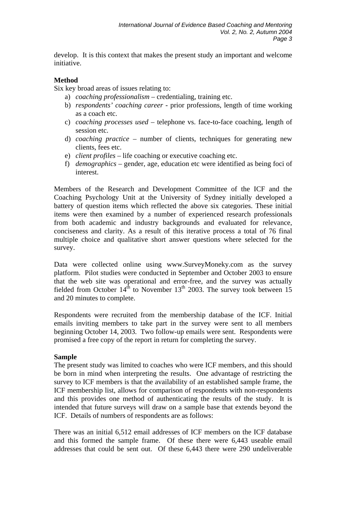develop. It is this context that makes the present study an important and welcome initiative.

### **Method**

Six key broad areas of issues relating to:

- a) *coaching professionalism* credentialing, training etc.
- b) *respondents' coaching career* prior professions, length of time working as a coach etc.
- c) *coaching processes used* telephone vs. face-to-face coaching, length of session etc.
- d) *coaching practice –* number of clients, techniques for generating new clients, fees etc.
- e) *client profiles* life coaching or executive coaching etc.
- f) *demographics* gender, age, education etc were identified as being foci of interest.

Members of the Research and Development Committee of the ICF and the Coaching Psychology Unit at the University of Sydney initially developed a battery of question items which reflected the above six categories. These initial items were then examined by a number of experienced research professionals from both academic and industry backgrounds and evaluated for relevance, conciseness and clarity. As a result of this iterative process a total of 76 final multiple choice and qualitative short answer questions where selected for the survey.

Data were collected online using www.SurveyMoneky.com as the survey platform. Pilot studies were conducted in September and October 2003 to ensure that the web site was operational and error-free, and the survey was actually fielded from October  $14^{th}$  to November  $13^{th}$  2003. The survey took between 15 and 20 minutes to complete.

Respondents were recruited from the membership database of the ICF. Initial emails inviting members to take part in the survey were sent to all members beginning October 14, 2003. Two follow-up emails were sent. Respondents were promised a free copy of the report in return for completing the survey.

# **Sample**

The present study was limited to coaches who were ICF members, and this should be born in mind when interpreting the results. One advantage of restricting the survey to ICF members is that the availability of an established sample frame, the ICF membership list, allows for comparison of respondents with non-respondents and this provides one method of authenticating the results of the study. It is intended that future surveys will draw on a sample base that extends beyond the ICF. Details of numbers of respondents are as follows:

There was an initial 6,512 email addresses of ICF members on the ICF database and this formed the sample frame. Of these there were 6,443 useable email addresses that could be sent out. Of these 6,443 there were 290 undeliverable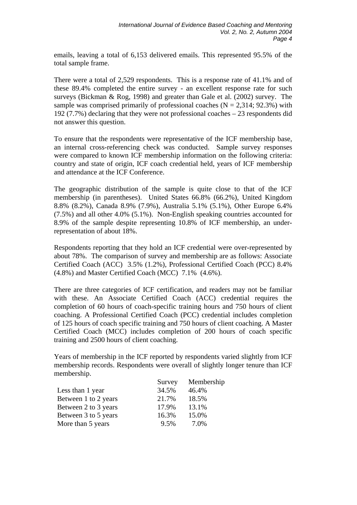emails, leaving a total of 6,153 delivered emails. This represented 95.5% of the total sample frame.

There were a total of 2,529 respondents. This is a response rate of 41.1% and of these 89.4% completed the entire survey - an excellent response rate for such surveys (Bickman & Rog, 1998) and greater than Gale et al. (2002) survey. The sample was comprised primarily of professional coaches  $(N = 2,314; 92.3\%)$  with 192 (7.7%) declaring that they were not professional coaches – 23 respondents did not answer this question.

To ensure that the respondents were representative of the ICF membership base, an internal cross-referencing check was conducted. Sample survey responses were compared to known ICF membership information on the following criteria: country and state of origin, ICF coach credential held, years of ICF membership and attendance at the ICF Conference.

The geographic distribution of the sample is quite close to that of the ICF membership (in parentheses). United States 66.8% (66.2%), United Kingdom 8.8% (8.2%), Canada 8.9% (7.9%), Australia 5.1% (5.1%), Other Europe 6.4% (7.5%) and all other 4.0% (5.1%). Non-English speaking countries accounted for 8.9% of the sample despite representing 10.8% of ICF membership, an underrepresentation of about 18%.

Respondents reporting that they hold an ICF credential were over-represented by about 78%. The comparison of survey and membership are as follows: Associate Certified Coach (ACC) 3.5% (1.2%), Professional Certified Coach (PCC) 8.4% (4.8%) and Master Certified Coach (MCC) 7.1% (4.6%).

There are three categories of ICF certification, and readers may not be familiar with these. An Associate Certified Coach (ACC) credential requires the completion of 60 hours of coach-specific training hours and 750 hours of client coaching. A Professional Certified Coach (PCC) credential includes completion of 125 hours of coach specific training and 750 hours of client coaching. A Master Certified Coach (MCC) includes completion of 200 hours of coach specific training and 2500 hours of client coaching.

Years of membership in the ICF reported by respondents varied slightly from ICF membership records. Respondents were overall of slightly longer tenure than ICF membership.

|                      | Survey | Membership |
|----------------------|--------|------------|
| Less than 1 year     | 34.5%  | 46.4%      |
| Between 1 to 2 years | 21.7%  | 18.5%      |
| Between 2 to 3 years | 17.9%  | 13.1%      |
| Between 3 to 5 years | 16.3%  | 15.0%      |
| More than 5 years    | 9.5%   | 7.0%       |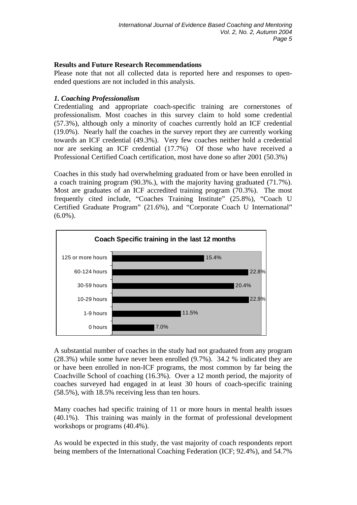# **Results and Future Research Recommendations**

Please note that not all collected data is reported here and responses to openended questions are not included in this analysis.

# *1. Coaching Professionalism*

Credentialing and appropriate coach-specific training are cornerstones of professionalism. Most coaches in this survey claim to hold some credential (57.3%), although only a minority of coaches currently hold an ICF credential (19.0%). Nearly half the coaches in the survey report they are currently working towards an ICF credential (49.3%). Very few coaches neither hold a credential nor are seeking an ICF credential (17.7%) Of those who have received a Professional Certified Coach certification, most have done so after 2001 (50.3%)

Coaches in this study had overwhelming graduated from or have been enrolled in a coach training program (90.3%.), with the majority having graduated (71.7%). Most are graduates of an ICF accredited training program (70.3%). The most frequently cited include, "Coaches Training Institute" (25.8%), "Coach U Certified Graduate Program" (21.6%), and "Corporate Coach U International"  $(6.0\%)$ .



A substantial number of coaches in the study had not graduated from any program (28.3%) while some have never been enrolled (9.7%). 34.2 % indicated they are or have been enrolled in non-ICF programs, the most common by far being the Coachville School of coaching (16.3%). Over a 12 month period, the majority of coaches surveyed had engaged in at least 30 hours of coach-specific training (58.5%), with 18.5% receiving less than ten hours.

Many coaches had specific training of 11 or more hours in mental health issues (40.1%). This training was mainly in the format of professional development workshops or programs (40.4%).

As would be expected in this study, the vast majority of coach respondents report being members of the International Coaching Federation (ICF; 92.4%), and 54.7%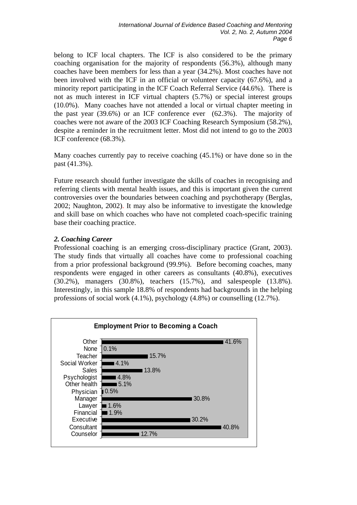belong to ICF local chapters. The ICF is also considered to be the primary coaching organisation for the majority of respondents (56.3%), although many coaches have been members for less than a year (34.2%). Most coaches have not been involved with the ICF in an official or volunteer capacity (67.6%), and a minority report participating in the ICF Coach Referral Service (44.6%). There is not as much interest in ICF virtual chapters (5.7%) or special interest groups (10.0%). Many coaches have not attended a local or virtual chapter meeting in the past year (39.6%) or an ICF conference ever (62.3%). The majority of coaches were not aware of the 2003 ICF Coaching Research Symposium (58.2%), despite a reminder in the recruitment letter. Most did not intend to go to the 2003 ICF conference (68.3%).

Many coaches currently pay to receive coaching (45.1%) or have done so in the past (41.3%).

Future research should further investigate the skills of coaches in recognising and referring clients with mental health issues, and this is important given the current controversies over the boundaries between coaching and psychotherapy (Berglas, 2002; Naughton, 2002). It may also be informative to investigate the knowledge and skill base on which coaches who have not completed coach-specific training base their coaching practice.

# *2. Coaching Career*

Professional coaching is an emerging cross-disciplinary practice (Grant, 2003). The study finds that virtually all coaches have come to professional coaching from a prior professional background (99.9%). Before becoming coaches, many respondents were engaged in other careers as consultants (40.8%), executives (30.2%), managers (30.8%), teachers (15.7%), and salespeople (13.8%). Interestingly, in this sample 18.8% of respondents had backgrounds in the helping professions of social work (4.1%), psychology (4.8%) or counselling (12.7%).

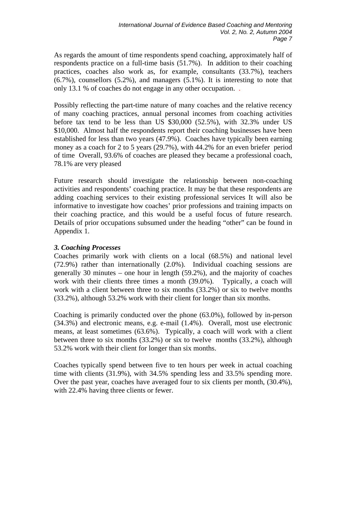As regards the amount of time respondents spend coaching, approximately half of respondents practice on a full-time basis (51.7%). In addition to their coaching practices, coaches also work as, for example, consultants (33.7%), teachers  $(6.7\%)$ , counsellors  $(5.2\%)$ , and managers  $(5.1\%)$ . It is interesting to note that only 13.1 % of coaches do not engage in any other occupation. .

Possibly reflecting the part-time nature of many coaches and the relative recency of many coaching practices, annual personal incomes from coaching activities before tax tend to be less than US \$30,000 (52.5%), with 32.3% under US \$10,000. Almost half the respondents report their coaching businesses have been established for less than two years (47.9%). Coaches have typically been earning money as a coach for 2 to 5 years (29.7%), with 44.2% for an even briefer period of time Overall, 93.6% of coaches are pleased they became a professional coach, 78.1% are very pleased

Future research should investigate the relationship between non-coaching activities and respondents' coaching practice. It may be that these respondents are adding coaching services to their existing professional services It will also be informative to investigate how coaches' prior professions and training impacts on their coaching practice, and this would be a useful focus of future research. Details of prior occupations subsumed under the heading "other" can be found in Appendix 1.

# *3. Coaching Processes*

Coaches primarily work with clients on a local (68.5%) and national level (72.9%) rather than internationally (2.0%). Individual coaching sessions are generally 30 minutes – one hour in length (59.2%), and the majority of coaches work with their clients three times a month (39.0%). Typically, a coach will work with a client between three to six months (33.2%) or six to twelve months (33.2%), although 53.2% work with their client for longer than six months.

Coaching is primarily conducted over the phone (63.0%), followed by in-person (34.3%) and electronic means, e.g. e-mail (1.4%). Overall, most use electronic means, at least sometimes (63.6%). Typically, a coach will work with a client between three to six months (33.2%) or six to twelve months (33.2%), although 53.2% work with their client for longer than six months.

Coaches typically spend between five to ten hours per week in actual coaching time with clients (31.9%), with 34.5% spending less and 33.5% spending more. Over the past year, coaches have averaged four to six clients per month, (30.4%), with 22.4% having three clients or fewer.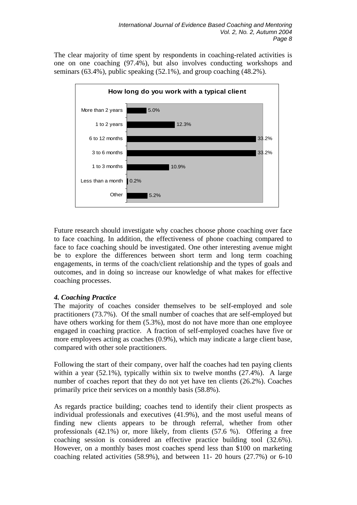The clear majority of time spent by respondents in coaching-related activities is one on one coaching (97.4%), but also involves conducting workshops and seminars (63.4%), public speaking (52.1%), and group coaching (48.2%).



Future research should investigate why coaches choose phone coaching over face to face coaching. In addition, the effectiveness of phone coaching compared to face to face coaching should be investigated. One other interesting avenue might be to explore the differences between short term and long term coaching engagements, in terms of the coach/client relationship and the types of goals and outcomes, and in doing so increase our knowledge of what makes for effective coaching processes.

# *4. Coaching Practice*

The majority of coaches consider themselves to be self-employed and sole practitioners (73.7%). Of the small number of coaches that are self-employed but have others working for them  $(5.3\%)$ , most do not have more than one employee engaged in coaching practice. A fraction of self-employed coaches have five or more employees acting as coaches (0.9%), which may indicate a large client base, compared with other sole practitioners.

Following the start of their company, over half the coaches had ten paying clients within a year (52.1%), typically within six to twelve months (27.4%). A large number of coaches report that they do not yet have ten clients (26.2%). Coaches primarily price their services on a monthly basis (58.8%).

As regards practice building; coaches tend to identify their client prospects as individual professionals and executives (41.9%), and the most useful means of finding new clients appears to be through referral, whether from other professionals (42.1%) or, more likely, from clients (57.6 %). Offering a free coaching session is considered an effective practice building tool (32.6%). However, on a monthly bases most coaches spend less than \$100 on marketing coaching related activities (58.9%), and between 11- 20 hours (27.7%) or 6-10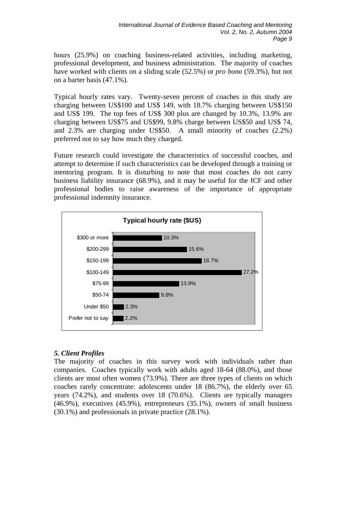hours (25.9%) on coaching business-related activities, including marketing, professional development, and business administration. The majority of coaches have worked with clients on a sliding scale (52.5%) or *pro bono* (59.3%), but not on a barter basis (47.1%).

Typical hourly rates vary. Twenty-seven percent of coaches in this study are charging between US\$100 and US\$ 149, with 18.7% charging between US\$150 and US\$ 199. The top fees of US\$ 300 plus are changed by 10.3%, 13.9% are charging between US\$75 and US\$99, 9.8% charge between US\$50 and US\$ 74, and 2.3% are charging under US\$50. A small minority of coaches (2.2%) preferred not to say how much they charged.

Future research could investigate the characteristics of successful coaches, and attempt to determine if such characteristics can be developed through a training or mentoring program. It is disturbing to note that most coaches do not carry business liability insurance (68.9%), and it may be useful for the ICF and other professional bodies to raise awareness of the importance of appropriate professional indemnity insurance.



# *5. Client Profiles*

The majority of coaches in this survey work with individuals rather than companies. Coaches typically work with adults aged 18-64 (88.0%), and those clients are most often women (73.9%). There are three types of clients on which coaches rarely concentrate: adolescents under 18 (86.7%), the elderly over 65 years (74.2%), and students over 18 (70.6%). Clients are typically managers (46.9%), executives (45.9%), entrepreneurs (35.1%), owners of small business (30.1%) and professionals in private practice (28.1%).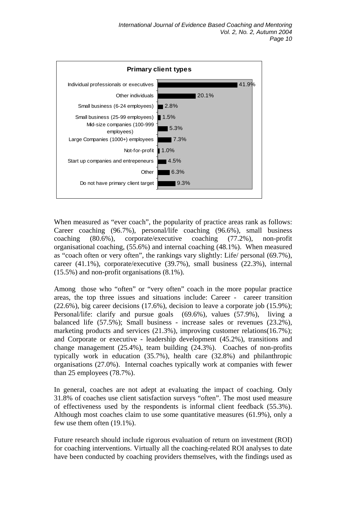

When measured as "ever coach", the popularity of practice areas rank as follows: Career coaching (96.7%), personal/life coaching (96.6%), small business coaching (80.6%), corporate/executive coaching (77.2%), non-profit organisational coaching, (55.6%) and internal coaching (48.1%). When measured as "coach often or very often", the rankings vary slightly: Life/ personal (69.7%), career (41.1%), corporate/executive (39.7%), small business (22.3%), internal (15.5%) and non-profit organisations (8.1%).

Among those who "often" or "very often" coach in the more popular practice areas, the top three issues and situations include: Career - career transition (22.6%), big career decisions (17.6%), decision to leave a corporate job (15.9%); Personal/life: clarify and pursue goals (69.6%), values (57.9%), living a balanced life (57.5%); Small business - increase sales or revenues (23.2%), marketing products and services (21.3%), improving customer relations(16.7%); and Corporate or executive - leadership development (45.2%), transitions and change management (25.4%), team building (24.3%). Coaches of non-profits typically work in education (35.7%), health care (32.8%) and philanthropic organisations (27.0%). Internal coaches typically work at companies with fewer than 25 employees (78.7%).

In general, coaches are not adept at evaluating the impact of coaching. Only 31.8% of coaches use client satisfaction surveys "often". The most used measure of effectiveness used by the respondents is informal client feedback (55.3%). Although most coaches claim to use some quantitative measures (61.9%), only a few use them often (19.1%).

Future research should include rigorous evaluation of return on investment (ROI) for coaching interventions. Virtually all the coaching-related ROI analyses to date have been conducted by coaching providers themselves, with the findings used as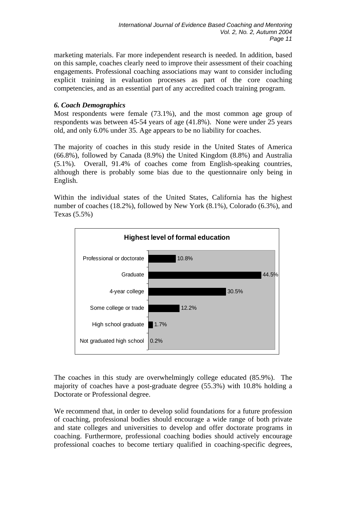marketing materials. Far more independent research is needed. In addition, based on this sample, coaches clearly need to improve their assessment of their coaching engagements. Professional coaching associations may want to consider including explicit training in evaluation processes as part of the core coaching competencies, and as an essential part of any accredited coach training program.

# *6. Coach Demographics*

Most respondents were female (73.1%), and the most common age group of respondents was between 45-54 years of age (41.8%). None were under 25 years old, and only 6.0% under 35. Age appears to be no liability for coaches.

The majority of coaches in this study reside in the United States of America (66.8%), followed by Canada (8.9%) the United Kingdom (8.8%) and Australia (5.1%). Overall, 91.4% of coaches come from English-speaking countries, although there is probably some bias due to the questionnaire only being in English.

Within the individual states of the United States, California has the highest number of coaches (18.2%), followed by New York (8.1%), Colorado (6.3%), and Texas (5.5%)



The coaches in this study are overwhelmingly college educated (85.9%). The majority of coaches have a post-graduate degree (55.3%) with 10.8% holding a Doctorate or Professional degree.

We recommend that, in order to develop solid foundations for a future profession of coaching, professional bodies should encourage a wide range of both private and state colleges and universities to develop and offer doctorate programs in coaching. Furthermore, professional coaching bodies should actively encourage professional coaches to become tertiary qualified in coaching-specific degrees,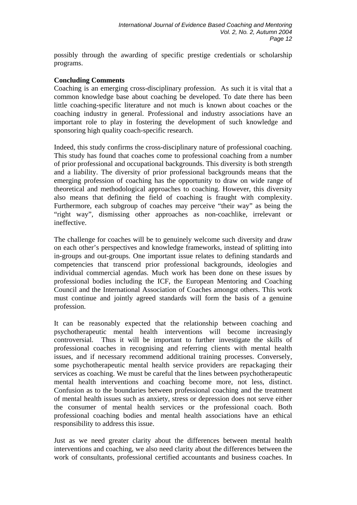possibly through the awarding of specific prestige credentials or scholarship programs.

### **Concluding Comments**

Coaching is an emerging cross-disciplinary profession. As such it is vital that a common knowledge base about coaching be developed. To date there has been little coaching-specific literature and not much is known about coaches or the coaching industry in general. Professional and industry associations have an important role to play in fostering the development of such knowledge and sponsoring high quality coach-specific research.

Indeed, this study confirms the cross-disciplinary nature of professional coaching. This study has found that coaches come to professional coaching from a number of prior professional and occupational backgrounds. This diversity is both strength and a liability. The diversity of prior professional backgrounds means that the emerging profession of coaching has the opportunity to draw on wide range of theoretical and methodological approaches to coaching. However, this diversity also means that defining the field of coaching is fraught with complexity. Furthermore, each subgroup of coaches may perceive "their way" as being the "right way", dismissing other approaches as non-coachlike, irrelevant or ineffective.

The challenge for coaches will be to genuinely welcome such diversity and draw on each other's perspectives and knowledge frameworks, instead of splitting into in-groups and out-groups. One important issue relates to defining standards and competencies that transcend prior professional backgrounds, ideologies and individual commercial agendas. Much work has been done on these issues by professional bodies including the ICF, the European Mentoring and Coaching Council and the International Association of Coaches amongst others. This work must continue and jointly agreed standards will form the basis of a genuine profession.

It can be reasonably expected that the relationship between coaching and psychotherapeutic mental health interventions will become increasingly controversial. Thus it will be important to further investigate the skills of professional coaches in recognising and referring clients with mental health issues, and if necessary recommend additional training processes. Conversely, some psychotherapeutic mental health service providers are repackaging their services as coaching. We must be careful that the lines between psychotherapeutic mental health interventions and coaching become more, not less, distinct. Confusion as to the boundaries between professional coaching and the treatment of mental health issues such as anxiety, stress or depression does not serve either the consumer of mental health services or the professional coach. Both professional coaching bodies and mental health associations have an ethical responsibility to address this issue.

Just as we need greater clarity about the differences between mental health interventions and coaching, we also need clarity about the differences between the work of consultants, professional certified accountants and business coaches. In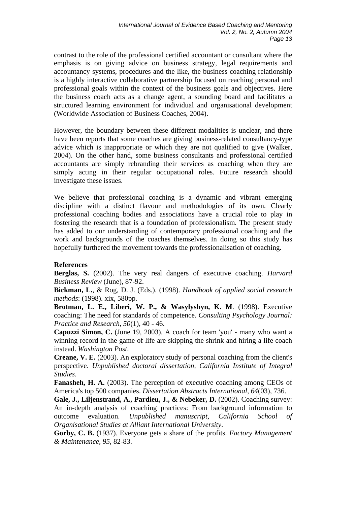contrast to the role of the professional certified accountant or consultant where the emphasis is on giving advice on business strategy, legal requirements and accountancy systems, procedures and the like, the business coaching relationship is a highly interactive collaborative partnership focused on reaching personal and professional goals within the context of the business goals and objectives. Here the business coach acts as a change agent, a sounding board and facilitates a structured learning environment for individual and organisational development (Worldwide Association of Business Coaches, 2004).

However, the boundary between these different modalities is unclear, and there have been reports that some coaches are giving business-related consultancy-type advice which is inappropriate or which they are not qualified to give (Walker, 2004). On the other hand, some business consultants and professional certified accountants are simply rebranding their services as coaching when they are simply acting in their regular occupational roles. Future research should investigate these issues.

We believe that professional coaching is a dynamic and vibrant emerging discipline with a distinct flavour and methodologies of its own. Clearly professional coaching bodies and associations have a crucial role to play in fostering the research that is a foundation of professionalism. The present study has added to our understanding of contemporary professional coaching and the work and backgrounds of the coaches themselves. In doing so this study has hopefully furthered the movement towards the professionalisation of coaching.

### **References**

**Berglas, S.** (2002). The very real dangers of executive coaching. *Harvard Business Review* (June), 87-92.

**Bickman, L.**, & Rog, D. J. (Eds.). (1998). *Handbook of applied social research methods*: (1998). xix, 580pp.

**Brotman, L. E., Liberi, W. P., & Wasylyshyn, K. M**. (1998). Executive coaching: The need for standards of competence. *Consulting Psychology Journal: Practice and Research, 50*(1), 40 - 46.

**Capuzzi Simon, C.** (June 19, 2003). A coach for team 'you' - many who want a winning record in the game of life are skipping the shrink and hiring a life coach instead. *Washington Post*.

**Creane, V. E.** (2003). An exploratory study of personal coaching from the client's perspective. *Unpublished doctoral dissertation, California Institute of Integral Studies*.

**Fanasheh, H. A.** (2003). The perception of executive coaching among CEOs of America's top 500 companies. *Dissertation Abstracts International, 64*(03), 736.

**Gale, J., Liljenstrand, A., Pardieu, J., & Nebeker, D.** (2002). Coaching survey: An in-depth analysis of coaching practices: From background information to outcome evaluation. *Unpublished manuscript, California School of Organisational Studies at Alliant International University*.

**Gorby, C. B.** (1937). Everyone gets a share of the profits. *Factory Management & Maintenance, 95*, 82-83.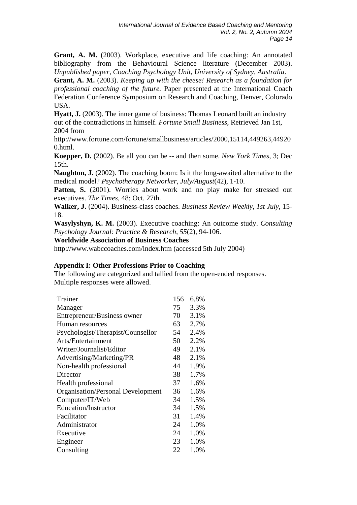**Grant, A. M.** (2003). Workplace, executive and life coaching: An annotated bibliography from the Behavioural Science literature (December 2003). *Unpublished paper, Coaching Psychology Unit, University of Sydney, Australia*.

**Grant, A. M.** (2003). *Keeping up with the cheese! Research as a foundation for professional coaching of the future.* Paper presented at the International Coach Federation Conference Symposium on Research and Coaching, Denver, Colorado USA.

**Hyatt, J.** (2003). The inner game of business: Thomas Leonard built an industry out of the contradictions in himself. *Fortune Small Business*, Retrieved Jan 1st, 2004 from

http://www.fortune.com/fortune/smallbusiness/articles/2000,15114,449263,44920 0.html.

**Koepper, D.** (2002). Be all you can be -- and then some. *New York Times*, 3; Dec 15th.

**Naughton, J.** (2002). The coaching boom: Is it the long-awaited alternative to the medical model? *Psychotherapy Networker, July/August*(42), 1-10.

**Patten, S.** (2001). Worries about work and no play make for stressed out executives. *The Times*, 48; Oct. 27th.

**Walker, J.** (2004). Business-class coaches. *Business Review Weekly, 1st July*, 15- 18.

**Wasylyshyn, K. M.** (2003). Executive coaching: An outcome study. *Consulting Psychology Journal: Practice & Research, 55*(2), 94-106.

**Worldwide Association of Business Coaches** 

http://www.wabccoaches.com/index.htm (accessed 5th July 2004)

### **Appendix I: Other Professions Prior to Coaching**

The following are categorized and tallied from the open-ended responses. Multiple responses were allowed.

| Trainer                                  | 156 | 6.8% |
|------------------------------------------|-----|------|
| Manager                                  | 75  | 3.3% |
| Entrepreneur/Business owner              | 70  | 3.1% |
| Human resources                          | 63  | 2.7% |
| Psychologist/Therapist/Counsellor        | 54  | 2.4% |
| Arts/Entertainment                       | 50  | 2.2% |
| Writer/Journalist/Editor                 | 49  | 2.1% |
| Advertising/Marketing/PR                 | 48  | 2.1% |
| Non-health professional                  | 44  | 1.9% |
| Director                                 | 38  | 1.7% |
| Health professional                      | 37  | 1.6% |
| <b>Organisation/Personal Development</b> | 36  | 1.6% |
| Computer/IT/Web                          | 34  | 1.5% |
| Education/Instructor                     | 34  | 1.5% |
| Facilitator                              | 31  | 1.4% |
| Administrator                            | 24  | 1.0% |
| Executive                                | 24  | 1.0% |
| Engineer                                 | 23  | 1.0% |
| Consulting                               | 22  | 1.0% |